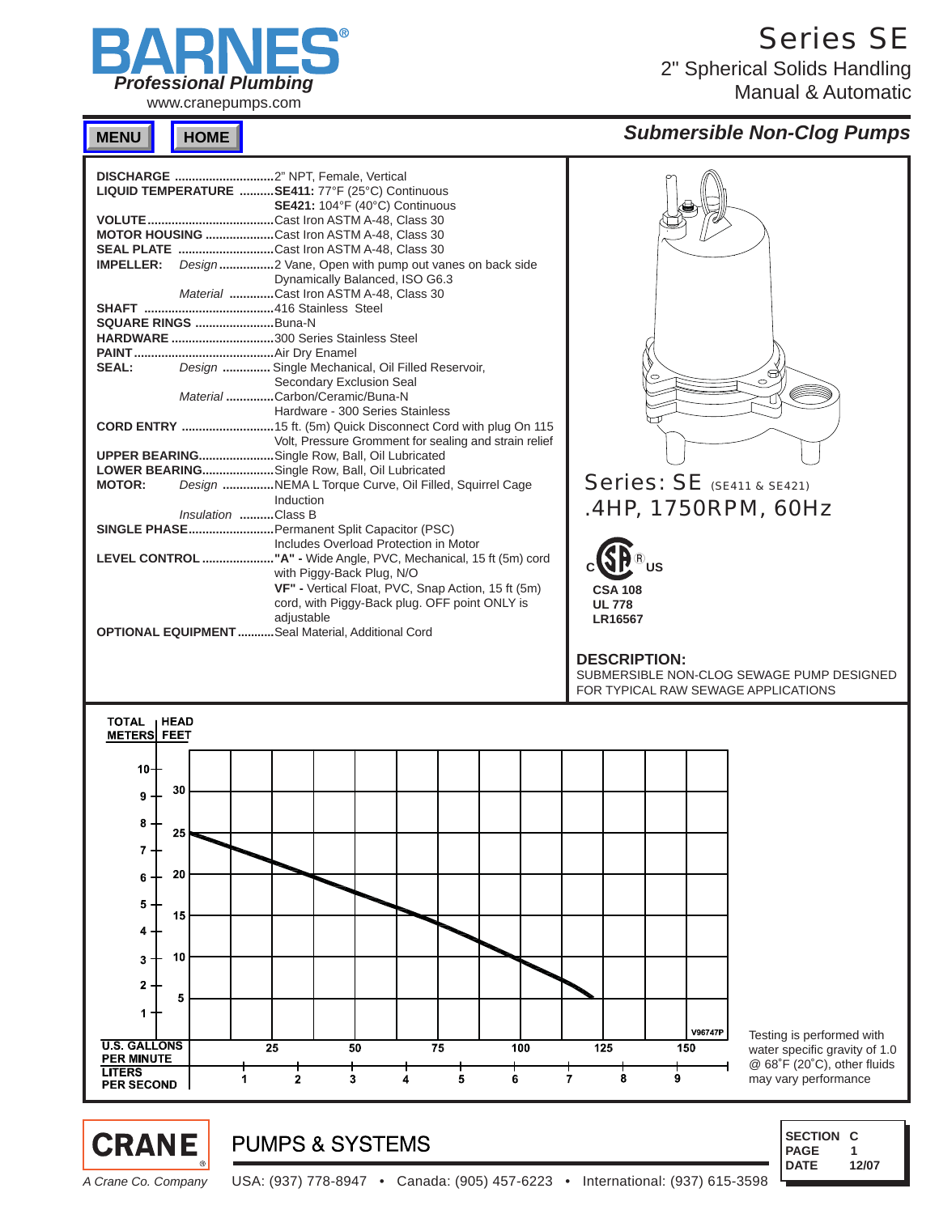

www.cranepumps.com

Series SE

2" Spherical Solids Handling Manual & Automatic

### **MENU HOME**

### *Submersible Non-Clog Pumps*





### **PUMPS & SYSTEMS**

*A Crane Co. Company* USA: (937) 778-8947 • Canada: (905) 457-6223 • International: (937) 615-3598

 **SECTION C PAGE DATE 1 12/07**